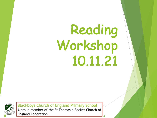# Reading Workshop 10.11.21

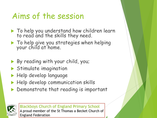#### Aims of the session

- $\blacktriangleright$  To help you understand how children learn to read and the skills they need.
- $\blacktriangleright$  To help give you strategies when helping your child at home.
- $\blacktriangleright$  By reading with your child, you;
- $\blacktriangleright$  Stimulate imagination
- $\blacktriangleright$  Help develop language
- $\blacktriangleright$  Help develop communication skills
- $\blacktriangleright$  Demonstrate that reading is important

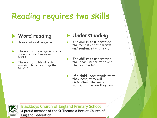# Reading requires two skills

#### $\blacktriangleright$  Word reading

- Phonics and word recognition
- $\blacktriangleright$  The ability to recognise words presented sentences and texts
- $\blacktriangleright$  The ability to blend letter sounds (phonemes) together to read.

#### $\blacktriangleright$  Understanding

- $\blacktriangleright$  The ability to understand the meaning of the words and sentences in a text.
- $\blacktriangleright$  The ability to understand the ideas, information and themes in a text.
- If a child understands what they hear, they will understand the same information when they read.

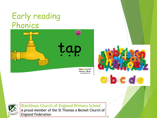#### Early reading Phonics







**Blackboys Church of England Primary School** 

A proud member of the St Thomas a Becket Church of **England Federation**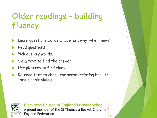# Older readings – building fluency

- Learn questions words who, what, why, when, how?
- Read questions,
- Pick out key words.
- Skim text to find the answer.
- Use pictures to find clues.
- Re-read text to check for sense (relating back to their phonic skills).

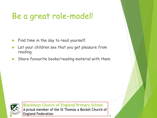### Be a great role-model!

- Find time in the day to read yourself.
- Let your children see that you get pleasure from reading.
- $\blacktriangleright$  Share favourite books/reading material with them.

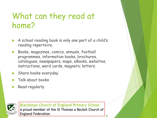#### What can they read at home?

- A school reading book is only one part of a child's reading repertoire.
- u Books, magazines, comics, annuals, football programmes, information books, brochures, catalogues, newspapers, maps, eBooks, websites, instructions, word cards, magnetic letters.
- Share books everyday
- Talk about books
- Read regularly

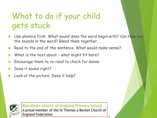## What to do if your child gets stuck

- Use phonics first. What sound does the word begin with? Can they say the sounds in the word? Blend them together.
- Read to the end of the sentence. What would make sense?
- What is the text about what might fit here?
- Encourage them to re-read to check for sense.
- Does it sound right?
- Look at the picture. Does it help?

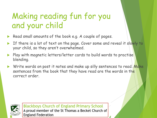## Making reading fun for you and your child

- Read small amounts of the book e.g. A couple of pages.
- If there is a lot of text on the page. Cover some and reveal it slowly to your child, so they aren't overwhelmed.
- Play with magnetic letters/letter cards to build words to practise blending.
- Write words on post it notes and make up silly sentences to read. Make sentences from the book that they have read are the words in the correct order.